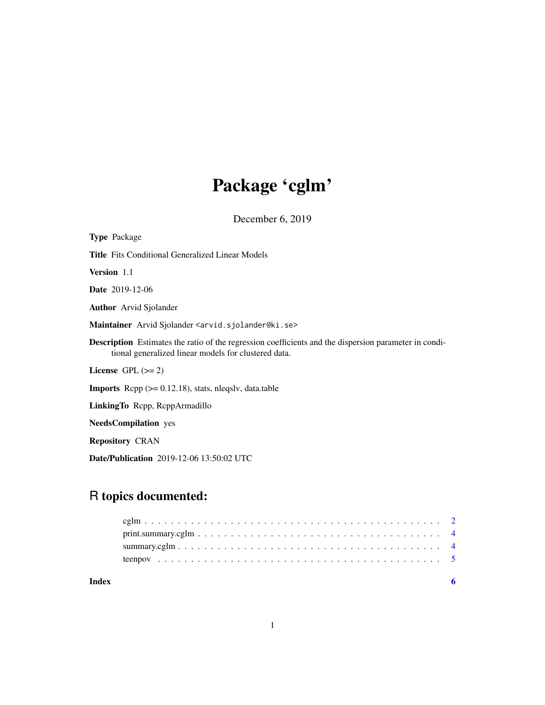# Package 'cglm'

December 6, 2019

| <b>Type Package</b>                                                                                                                                                  |
|----------------------------------------------------------------------------------------------------------------------------------------------------------------------|
| <b>Title</b> Fits Conditional Generalized Linear Models                                                                                                              |
| Version 1.1                                                                                                                                                          |
| <b>Date</b> 2019-12-06                                                                                                                                               |
| <b>Author</b> Arvid Sjolander                                                                                                                                        |
| Maintainer Arvid Sjolander <arvid.sjolander@ki.se></arvid.sjolander@ki.se>                                                                                           |
| <b>Description</b> Estimates the ratio of the regression coefficients and the dispersion parameter in condi-<br>tional generalized linear models for clustered data. |
| License $GPL (= 2)$                                                                                                                                                  |
| <b>Imports</b> Repp $(>= 0.12.18)$ , stats, nlegsly, data.table                                                                                                      |
| LinkingTo Repp, ReppArmadillo                                                                                                                                        |
| <b>NeedsCompilation</b> yes                                                                                                                                          |
| <b>Repository CRAN</b>                                                                                                                                               |
| <b>Date/Publication</b> 2019-12-06 13:50:02 UTC                                                                                                                      |

# R topics documented:

| Index |  |
|-------|--|
|       |  |
|       |  |
|       |  |
|       |  |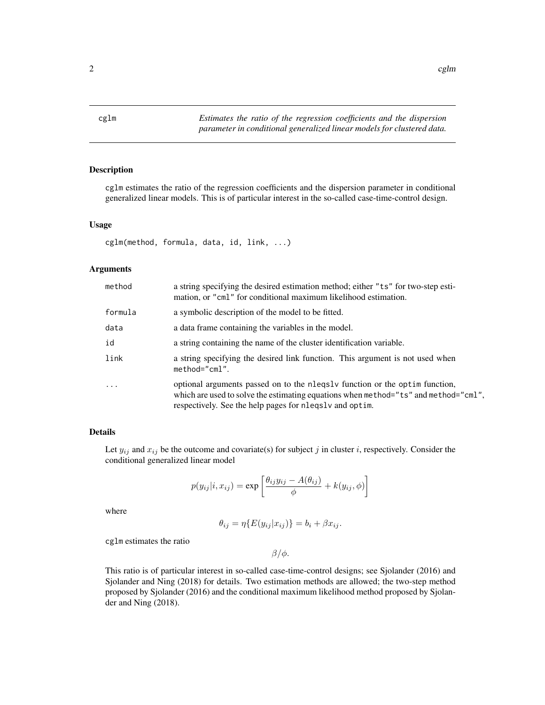<span id="page-1-0"></span>cglm *Estimates the ratio of the regression coefficients and the dispersion parameter in conditional generalized linear models for clustered data.*

# Description

cglm estimates the ratio of the regression coefficients and the dispersion parameter in conditional generalized linear models. This is of particular interest in the so-called case-time-control design.

#### Usage

cglm(method, formula, data, id, link, ...)

# Arguments

| method     | a string specifying the desired estimation method; either "ts" for two-step esti-<br>mation, or "cml" for conditional maximum likelihood estimation.                                                                      |  |
|------------|---------------------------------------------------------------------------------------------------------------------------------------------------------------------------------------------------------------------------|--|
| formula    | a symbolic description of the model to be fitted.                                                                                                                                                                         |  |
| data       | a data frame containing the variables in the model.                                                                                                                                                                       |  |
| id         | a string containing the name of the cluster identification variable.                                                                                                                                                      |  |
| link       | a string specifying the desired link function. This argument is not used when<br>$method="cm1".$                                                                                                                          |  |
| $\ddots$ . | optional arguments passed on to the negral function or the optimulation,<br>which are used to solve the estimating equations when method="ts" and method="cml",<br>respectively. See the help pages for negral and optim. |  |

# Details

Let  $y_{ij}$  and  $x_{ij}$  be the outcome and covariate(s) for subject j in cluster i, respectively. Consider the conditional generalized linear model

$$
p(y_{ij}|i, x_{ij}) = \exp\left[\frac{\theta_{ij}y_{ij} - A(\theta_{ij})}{\phi} + k(y_{ij}, \phi)\right]
$$

where

$$
\theta_{ij} = \eta \{ E(y_{ij} | x_{ij}) \} = b_i + \beta x_{ij}.
$$

cglm estimates the ratio

 $β/φ.$ 

This ratio is of particular interest in so-called case-time-control designs; see Sjolander (2016) and Sjolander and Ning (2018) for details. Two estimation methods are allowed; the two-step method proposed by Sjolander (2016) and the conditional maximum likelihood method proposed by Sjolander and Ning (2018).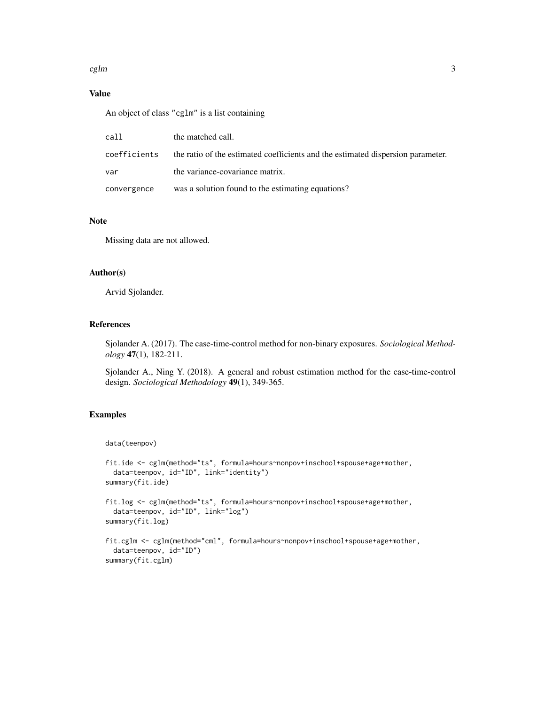#### $cglm$  3

# Value

An object of class "cglm" is a list containing

| call         | the matched call.                                                               |
|--------------|---------------------------------------------------------------------------------|
| coefficients | the ratio of the estimated coefficients and the estimated dispersion parameter. |
| var          | the variance-covariance matrix.                                                 |
| convergence  | was a solution found to the estimating equations?                               |

### Note

Missing data are not allowed.

#### Author(s)

Arvid Sjolander.

# References

Sjolander A. (2017). The case-time-control method for non-binary exposures. *Sociological Methodology* 47(1), 182-211.

Sjolander A., Ning Y. (2018). A general and robust estimation method for the case-time-control design. *Sociological Methodology* 49(1), 349-365.

# Examples

```
data(teenpov)
```

```
fit.ide <- cglm(method="ts", formula=hours~nonpov+inschool+spouse+age+mother,
 data=teenpov, id="ID", link="identity")
summary(fit.ide)
fit.log <- cglm(method="ts", formula=hours~nonpov+inschool+spouse+age+mother,
 data=teenpov, id="ID", link="log")
summary(fit.log)
fit.cglm <- cglm(method="cml", formula=hours~nonpov+inschool+spouse+age+mother,
 data=teenpov, id="ID")
summary(fit.cglm)
```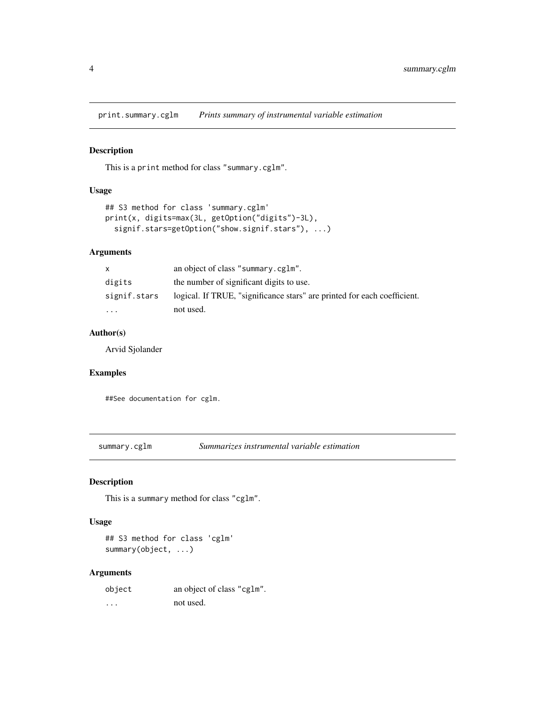<span id="page-3-0"></span>print.summary.cglm *Prints summary of instrumental variable estimation*

### Description

This is a print method for class "summary.cglm".

# Usage

```
## S3 method for class 'summary.cglm'
print(x, digits=max(3L, getOption("digits")-3L),
  signif.stars=getOption("show.signif.stars"), ...)
```
# Arguments

| X            | an object of class "summary.cglm".                                       |
|--------------|--------------------------------------------------------------------------|
| digits       | the number of significant digits to use.                                 |
| signif.stars | logical. If TRUE, "significance stars" are printed for each coefficient. |
| .            | not used.                                                                |

# Author(s)

Arvid Sjolander

# Examples

##See documentation for cglm.

summary.cglm *Summarizes instrumental variable estimation*

### Description

This is a summary method for class "cglm".

#### Usage

## S3 method for class 'cglm' summary(object, ...)

# Arguments

| object   | an object of class "cglm". |
|----------|----------------------------|
| $\cdots$ | not used.                  |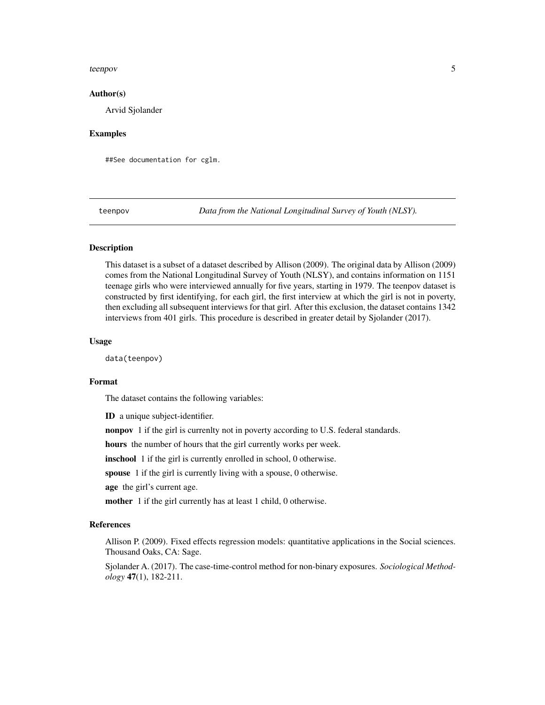#### <span id="page-4-0"></span>teenpov 5

#### Author(s)

Arvid Sjolander

## Examples

##See documentation for cglm.

teenpov *Data from the National Longitudinal Survey of Youth (NLSY).*

# **Description**

This dataset is a subset of a dataset described by Allison (2009). The original data by Allison (2009) comes from the National Longitudinal Survey of Youth (NLSY), and contains information on 1151 teenage girls who were interviewed annually for five years, starting in 1979. The teenpov dataset is constructed by first identifying, for each girl, the first interview at which the girl is not in poverty, then excluding all subsequent interviews for that girl. After this exclusion, the dataset contains 1342 interviews from 401 girls. This procedure is described in greater detail by Sjolander (2017).

### Usage

data(teenpov)

#### Format

The dataset contains the following variables:

ID a unique subject-identifier.

nonpov 1 if the girl is currenlty not in poverty according to U.S. federal standards.

hours the number of hours that the girl currently works per week.

inschool 1 if the girl is currently enrolled in school, 0 otherwise.

spouse 1 if the girl is currently living with a spouse, 0 otherwise.

age the girl's current age.

mother 1 if the girl currently has at least 1 child, 0 otherwise.

### References

Allison P. (2009). Fixed effects regression models: quantitative applications in the Social sciences. Thousand Oaks, CA: Sage.

Sjolander A. (2017). The case-time-control method for non-binary exposures. *Sociological Methodology* 47(1), 182-211.